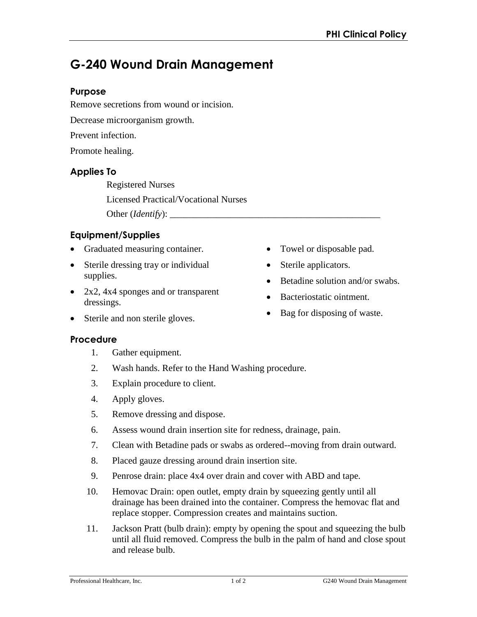# **G-240 Wound Drain Management**

## **Purpose**

Remove secretions from wound or incision.

Decrease microorganism growth.

Prevent infection.

Promote healing.

## **Applies To**

Registered Nurses Licensed Practical/Vocational Nurses Other (*Identify*): \_\_\_\_\_\_\_\_\_\_\_\_\_\_\_\_\_\_\_\_\_\_\_\_\_\_\_\_\_\_\_\_\_\_\_\_\_\_\_\_\_\_\_\_\_

# **Equipment/Supplies**

- Graduated measuring container.
- Sterile dressing tray or individual supplies.
- 2x2, 4x4 sponges and or transparent dressings.
- Sterile and non sterile gloves.

#### **Procedure**

- 1. Gather equipment.
- 2. Wash hands. Refer to the Hand Washing procedure.
- 3. Explain procedure to client.
- 4. Apply gloves.
- 5. Remove dressing and dispose.
- 6. Assess wound drain insertion site for redness, drainage, pain.
- 7. Clean with Betadine pads or swabs as ordered--moving from drain outward.
- 8. Placed gauze dressing around drain insertion site.
- 9. Penrose drain: place 4x4 over drain and cover with ABD and tape.
- 10. Hemovac Drain: open outlet, empty drain by squeezing gently until all drainage has been drained into the container. Compress the hemovac flat and replace stopper. Compression creates and maintains suction.
- 11. Jackson Pratt (bulb drain): empty by opening the spout and squeezing the bulb until all fluid removed. Compress the bulb in the palm of hand and close spout and release bulb.
- Towel or disposable pad.
- Sterile applicators.
- Betadine solution and/or swabs.
- Bacteriostatic ointment.
- Bag for disposing of waste.